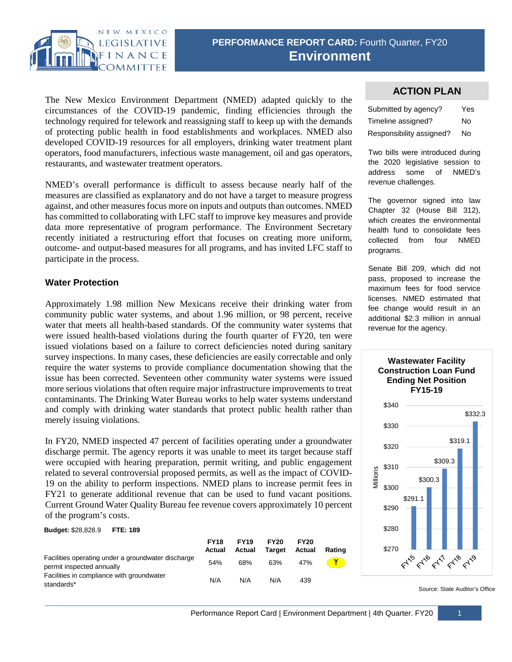

The New Mexico Environment Department (NMED) adapted quickly to the circumstances of the COVID-19 pandemic, finding efficiencies through the technology required for telework and reassigning staff to keep up with the demands of protecting public health in food establishments and workplaces. NMED also developed COVID-19 resources for all employers, drinking water treatment plant operators, food manufacturers, infectious waste management, oil and gas operators, restaurants, and wastewater treatment operators.

NMED's overall performance is difficult to assess because nearly half of the measures are classified as explanatory and do not have a target to measure progress against, and other measures focus more on inputs and outputs than outcomes. NMED has committed to collaborating with LFC staff to improve key measures and provide data more representative of program performance. The Environment Secretary recently initiated a restructuring effort that focuses on creating more uniform, outcome- and output-based measures for all programs, and has invited LFC staff to participate in the process.

# **Water Protection**

Approximately 1.98 million New Mexicans receive their drinking water from community public water systems, and about 1.96 million, or 98 percent, receive water that meets all health-based standards. Of the community water systems that were issued health-based violations during the fourth quarter of FY20, ten were issued violations based on a failure to correct deficiencies noted during sanitary survey inspections. In many cases, these deficiencies are easily correctable and only require the water systems to provide compliance documentation showing that the issue has been corrected. Seventeen other community water systems were issued more serious violations that often require major infrastructure improvements to treat contaminants. The Drinking Water Bureau works to help water systems understand and comply with drinking water standards that protect public health rather than merely issuing violations.

In FY20, NMED inspected 47 percent of facilities operating under a groundwater discharge permit. The agency reports it was unable to meet its target because staff were occupied with hearing preparation, permit writing, and public engagement related to several controversial proposed permits, as well as the impact of COVID-19 on the ability to perform inspections. NMED plans to increase permit fees in FY21 to generate additional revenue that can be used to fund vacant positions. Current Ground Water Quality Bureau fee revenue covers approximately 10 percent of the program's costs.

### **Budget:** \$28,828.9 **FTE: 189**

|                                                                                 | <b>FY18</b><br>Actual | <b>FY19</b><br>Actual | <b>FY20</b><br>Target | <b>FY20</b><br>Actual | Rating |
|---------------------------------------------------------------------------------|-----------------------|-----------------------|-----------------------|-----------------------|--------|
| Facilities operating under a groundwater discharge<br>permit inspected annually | 54%                   | 68%                   | 63%                   | 47%                   |        |
| Facilities in compliance with groundwater<br>standards*                         | N/A                   | N/A                   | N/A                   | 439                   |        |

# **ACTION PLAN**

| Submitted by agency?     | Yes |  |
|--------------------------|-----|--|
| Timeline assigned?       | N٥  |  |
| Responsibility assigned? | No  |  |

Two bills were introduced during the 2020 legislative session to address some of NMED's revenue challenges.

The governor signed into law Chapter 32 (House Bill 312), which creates the environmental health fund to consolidate fees collected from four NMED programs.

Senate Bill 209, which did not pass, proposed to increase the maximum fees for food service licenses. NMED estimated that fee change would result in an additional \$2.3 million in annual revenue for the agency.



#### Source: State Auditor's Office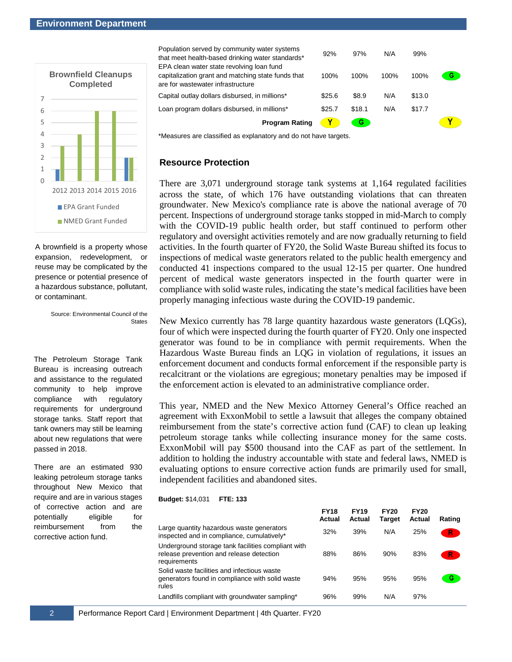#### **Environment Department**



A brownfield is a property whose expansion, redevelopment, or reuse may be complicated by the presence or potential presence of a hazardous substance, pollutant, or contaminant.

> Source: Environmental Council of the States

The Petroleum Storage Tank Bureau is increasing outreach and assistance to the regulated community to help improve compliance with regulatory requirements for underground storage tanks. Staff report that tank owners may still be learning about new regulations that were passed in 2018.

There are an estimated 930 leaking petroleum storage tanks throughout New Mexico that require and are in various stages of corrective action and are potentially eligible for reimbursement from the corrective action fund.

Population served by community water systems that meet health-based drinking water standards\* 92% 97% N/A 99% EPA clean water state revolving loan fund capitalization grant and matching state funds that G 100% 100% 100% 100% are for wastewater infrastructure Capital outlay dollars disbursed, in millions\* \$25.6 \$8.9 N/A \$13.0 Loan program dollars disbursed, in millions\* \$25.7 \$18.1 N/A \$17.7 **Program Rating**  $\bullet$ **CG** Y

\*Measures are classified as explanatory and do not have targets.

## **Resource Protection**

There are 3,071 underground storage tank systems at 1,164 regulated facilities across the state, of which 176 have outstanding violations that can threaten groundwater. New Mexico's compliance rate is above the national average of 70 percent. Inspections of underground storage tanks stopped in mid-March to comply with the COVID-19 public health order, but staff continued to perform other regulatory and oversight activities remotely and are now gradually returning to field activities. In the fourth quarter of FY20, the Solid Waste Bureau shifted its focus to inspections of medical waste generators related to the public health emergency and conducted 41 inspections compared to the usual 12-15 per quarter. One hundred percent of medical waste generators inspected in the fourth quarter were in compliance with solid waste rules, indicating the state's medical facilities have been properly managing infectious waste during the COVID-19 pandemic.

New Mexico currently has 78 large quantity hazardous waste generators (LQGs), four of which were inspected during the fourth quarter of FY20. Only one inspected generator was found to be in compliance with permit requirements. When the Hazardous Waste Bureau finds an LQG in violation of regulations, it issues an enforcement document and conducts formal enforcement if the responsible party is recalcitrant or the violations are egregious; monetary penalties may be imposed if the enforcement action is elevated to an administrative compliance order.

This year, NMED and the New Mexico Attorney General's Office reached an agreement with ExxonMobil to settle a lawsuit that alleges the company obtained reimbursement from the state's corrective action fund (CAF) to clean up leaking petroleum storage tanks while collecting insurance money for the same costs. ExxonMobil will pay \$500 thousand into the CAF as part of the settlement. In addition to holding the industry accountable with state and federal laws, NMED is evaluating options to ensure corrective action funds are primarily used for small, independent facilities and abandoned sites.

#### **Budget:** \$14,031 **FTE: 133**

|                                                                                                                | <b>FY18</b><br>Actual | <b>FY19</b><br>Actual | <b>FY20</b><br><b>Target</b> | <b>FY20</b><br>Actual | Rating |
|----------------------------------------------------------------------------------------------------------------|-----------------------|-----------------------|------------------------------|-----------------------|--------|
| Large quantity hazardous waste generators<br>inspected and in compliance, cumulatively*                        | 32%                   | 39%                   | N/A                          | 25%                   |        |
| Underground storage tank facilities compliant with<br>release prevention and release detection<br>requirements | 88%                   | 86%                   | 90%                          | 83%                   | R.     |
| Solid waste facilities and infectious waste<br>generators found in compliance with solid waste<br>rules        | 94%                   | 95%                   | 95%                          | 95%                   | G      |
| Landfills compliant with groundwater sampling*                                                                 | 96%                   | 99%                   | N/A                          | 97%                   |        |

2 Performance Report Card | Environment Department | 4th Quarter. FY20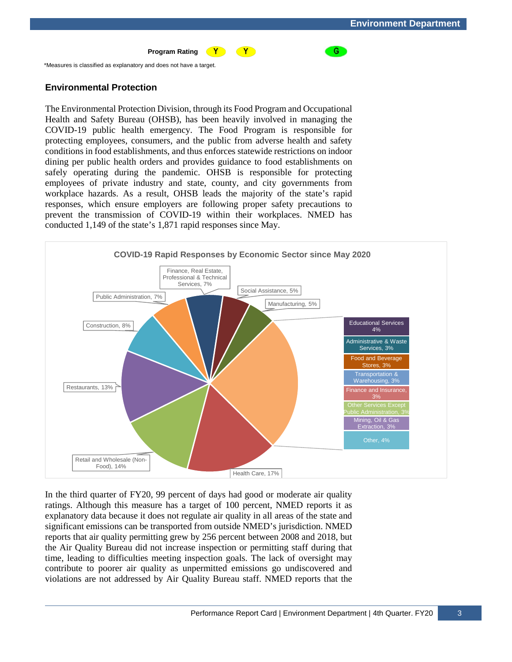G

#### **Program Rating**  $\left( \gamma \right)$

\*Measures is classified as explanatory and does not have a target.

## **Environmental Protection**

The Environmental Protection Division, through its Food Program and Occupational Health and Safety Bureau (OHSB), has been heavily involved in managing the COVID-19 public health emergency. The Food Program is responsible for protecting employees, consumers, and the public from adverse health and safety conditions in food establishments, and thus enforces statewide restrictions on indoor dining per public health orders and provides guidance to food establishments on safely operating during the pandemic. OHSB is responsible for protecting employees of private industry and state, county, and city governments from workplace hazards. As a result, OHSB leads the majority of the state's rapid responses, which ensure employers are following proper safety precautions to prevent the transmission of COVID-19 within their workplaces. NMED has conducted 1,149 of the state's 1,871 rapid responses since May.



 $\bullet$ 

In the third quarter of FY20, 99 percent of days had good or moderate air quality ratings. Although this measure has a target of 100 percent, NMED reports it as explanatory data because it does not regulate air quality in all areas of the state and significant emissions can be transported from outside NMED's jurisdiction. NMED reports that air quality permitting grew by 256 percent between 2008 and 2018, but the Air Quality Bureau did not increase inspection or permitting staff during that time, leading to difficulties meeting inspection goals. The lack of oversight may contribute to poorer air quality as unpermitted emissions go undiscovered and violations are not addressed by Air Quality Bureau staff. NMED reports that the